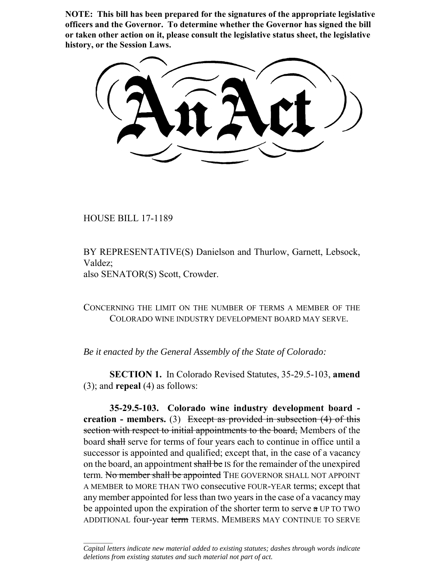**NOTE: This bill has been prepared for the signatures of the appropriate legislative officers and the Governor. To determine whether the Governor has signed the bill or taken other action on it, please consult the legislative status sheet, the legislative history, or the Session Laws.**

HOUSE BILL 17-1189

 $\frac{1}{2}$ 

BY REPRESENTATIVE(S) Danielson and Thurlow, Garnett, Lebsock, Valdez; also SENATOR(S) Scott, Crowder.

CONCERNING THE LIMIT ON THE NUMBER OF TERMS A MEMBER OF THE COLORADO WINE INDUSTRY DEVELOPMENT BOARD MAY SERVE.

*Be it enacted by the General Assembly of the State of Colorado:*

**SECTION 1.** In Colorado Revised Statutes, 35-29.5-103, **amend** (3); and **repeal** (4) as follows:

**35-29.5-103. Colorado wine industry development board creation - members.** (3) Except as provided in subsection (4) of this section with respect to initial appointments to the board, Members of the board shall serve for terms of four years each to continue in office until a successor is appointed and qualified; except that, in the case of a vacancy on the board, an appointment shall be IS for the remainder of the unexpired term. No member shall be appointed THE GOVERNOR SHALL NOT APPOINT A MEMBER to MORE THAN TWO consecutive FOUR-YEAR terms; except that any member appointed for less than two years in the case of a vacancy may be appointed upon the expiration of the shorter term to serve a UP TO TWO ADDITIONAL four-year term TERMS. MEMBERS MAY CONTINUE TO SERVE

*Capital letters indicate new material added to existing statutes; dashes through words indicate deletions from existing statutes and such material not part of act.*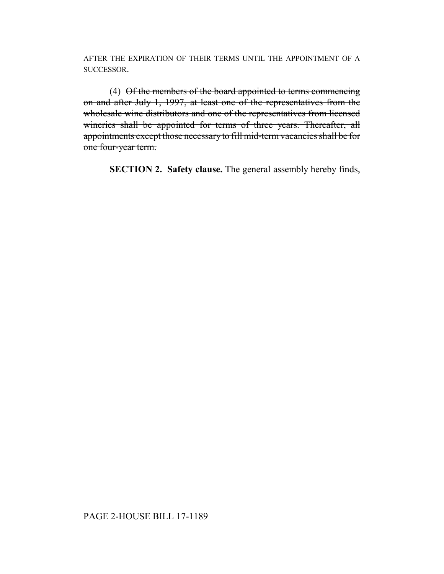AFTER THE EXPIRATION OF THEIR TERMS UNTIL THE APPOINTMENT OF A SUCCESSOR.

(4) Of the members of the board appointed to terms commencing on and after July 1, 1997, at least one of the representatives from the wholesale wine distributors and one of the representatives from licensed wineries shall be appointed for terms of three years. Thereafter, all appointments except those necessary to fill mid-term vacancies shall be for one four-year term.

**SECTION 2. Safety clause.** The general assembly hereby finds,